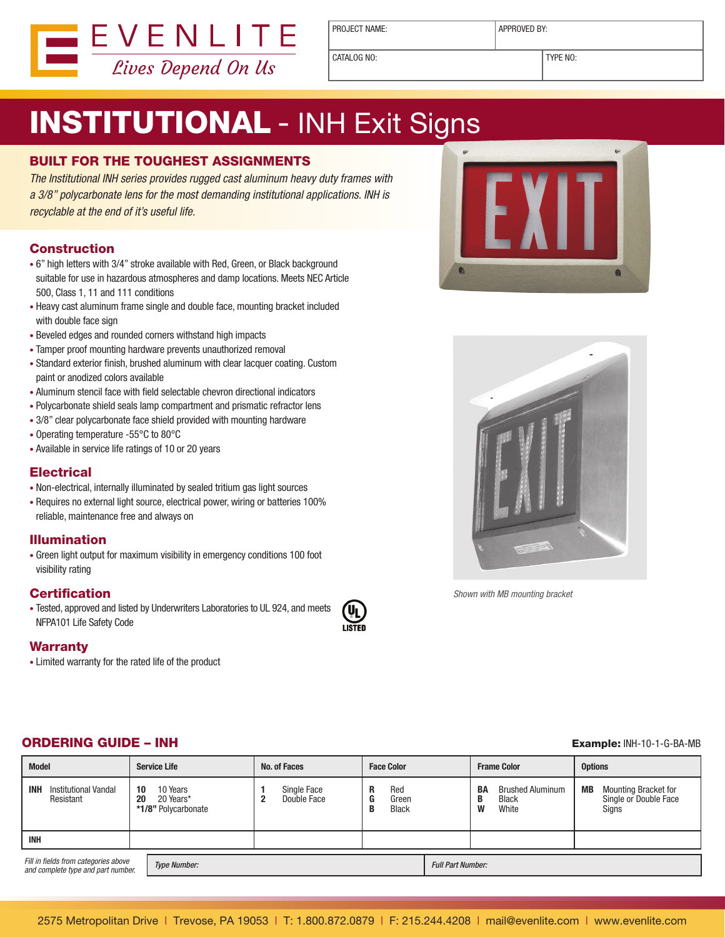

PROJECT NAME:  $\vert$  APPROVED BY:

CATALOG NO: TYPE NO:

# **INSTITUTIONAL - INH Exit Signs**

### BUILT FOR THE TOUGHEST ASSIGNMENTS

The Institutional INH series provides rugged cast aluminum heavy duty frames with a 3/8" polycarbonate lens for the most demanding institutional applications. INH is recyclable at the end of it's useful life.

#### **Construction**

- 6" high letters with 3/4" stroke available with Red, Green, or Black background suitable for use in hazardous atmospheres and damp locations. Meets NEC Article 500, Class 1, 11 and 111 conditions
- Heavy cast aluminum frame single and double face, mounting bracket included with double face sign
- Beveled edges and rounded corners withstand high impacts
- Tamper proof mounting hardware prevents unauthorized removal
- Standard exterior finish, brushed aluminum with clear lacquer coating. Custom paint or anodized colors available
- Aluminum stencil face with field selectable chevron directional indicators
- Polycarbonate shield seals lamp compartment and prismatic refractor lens
- 3/8" clear polycarbonate face shield provided with mounting hardware
- Operating temperature -55°C to 80°C
- Available in service life ratings of 10 or 20 years

#### **Electrical**

- Non-electrical, internally illuminated by sealed tritium gas light sources
- Requires no external light source, electrical power, wiring or batteries 100% reliable, maintenance free and always on

#### Illumination

• Green light output for maximum visibility in emergency conditions 100 foot visibility rating

#### **Certification**

• Tested, approved and listed by Underwriters Laboratories to UL 924, and meets NFPA101 Life Safety Code

LISTED

#### **Warranty**

• Limited warranty for the rated life of the product





Shown with MB mounting bracket

#### ORDERING GUIDE – INH Example: INH-10-1-G-BA-MB

| <b>Model</b>                                                                                      |          | <b>Service Life</b>                          |  | No. of Faces               |   | <b>Face Color</b>        |  | <b>Frame Color</b> |                                                  | <b>Options</b> |                                                               |
|---------------------------------------------------------------------------------------------------|----------|----------------------------------------------|--|----------------------------|---|--------------------------|--|--------------------|--------------------------------------------------|----------------|---------------------------------------------------------------|
| <b>INH</b><br>Institutional Vandal<br>Resistant                                                   | 10<br>20 | 10 Years<br>20 Years*<br>*1/8" Polycarbonate |  | Single Face<br>Double Face | R | Red<br>Green<br>Black    |  | BA<br>B<br>W       | <b>Brushed Aluminum</b><br><b>Black</b><br>White | MВ             | <b>Mounting Bracket for</b><br>Single or Double Face<br>Signs |
| <b>INH</b>                                                                                        |          |                                              |  |                            |   |                          |  |                    |                                                  |                |                                                               |
| Fill in fields from categories above<br><b>Type Number:</b><br>and complete type and part number. |          |                                              |  |                            |   | <b>Full Part Number:</b> |  |                    |                                                  |                |                                                               |